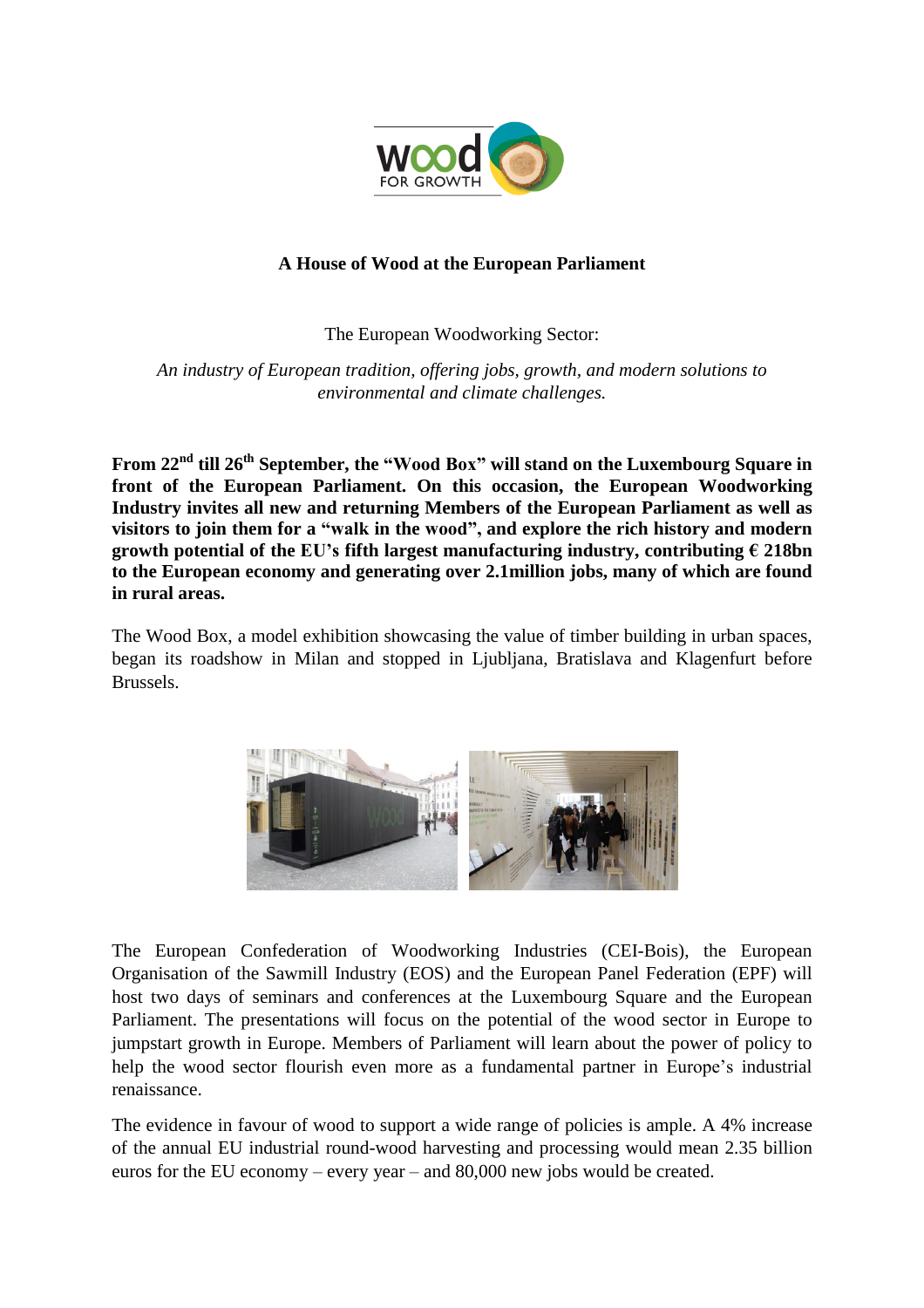

## **A House of Wood at the European Parliament**

The European Woodworking Sector:

*An industry of European tradition, offering jobs, growth, and modern solutions to environmental and climate challenges.*

**From 22nd till 26th September, the "Wood Box" will stand on the Luxembourg Square in front of the European Parliament. On this occasion, the European Woodworking Industry invites all new and returning Members of the European Parliament as well as visitors to join them for a "walk in the wood", and explore the rich history and modern growth potential of the EU's fifth largest manufacturing industry, contributing € 218bn to the European economy and generating over 2.1million jobs, many of which are found in rural areas.**

The Wood Box, a model exhibition showcasing the value of timber building in urban spaces, began its roadshow in Milan and stopped in Ljubljana, Bratislava and Klagenfurt before Brussels.



The European Confederation of Woodworking Industries (CEI-Bois), the European Organisation of the Sawmill Industry (EOS) and the European Panel Federation (EPF) will host two days of seminars and conferences at the Luxembourg Square and the European Parliament. The presentations will focus on the potential of the wood sector in Europe to jumpstart growth in Europe. Members of Parliament will learn about the power of policy to help the wood sector flourish even more as a fundamental partner in Europe's industrial renaissance.

The evidence in favour of wood to support a wide range of policies is ample. A 4% increase of the annual EU industrial round-wood harvesting and processing would mean 2.35 billion euros for the EU economy – every year – and 80,000 new jobs would be created.